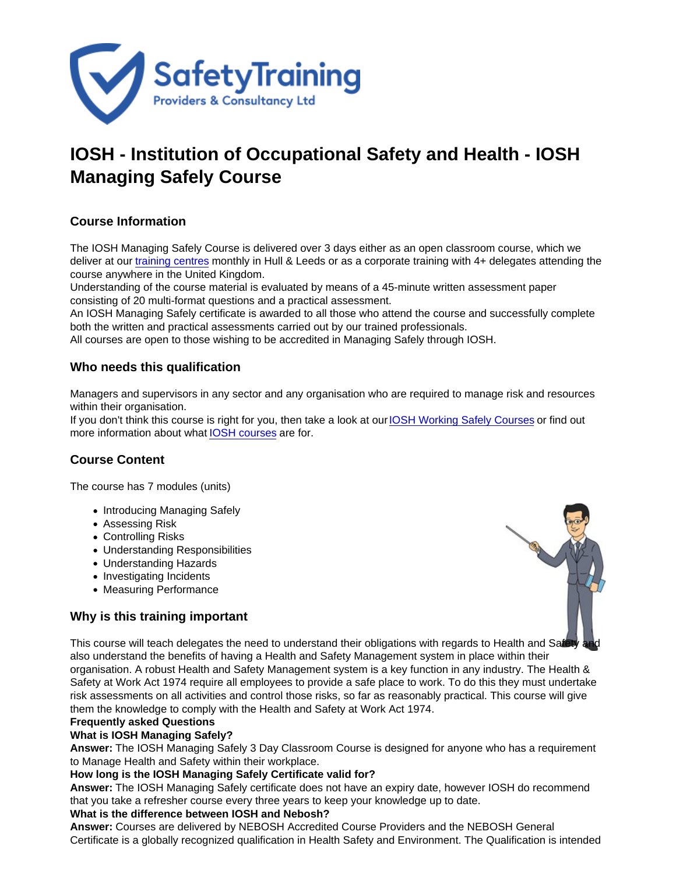# IOSH - Institution of Occupational Safety and Health - IOSH Managing Safely Course

## Course Information

The IOSH Managing Safely Course is delivered over 3 days either as an open classroom course, which we deliver at our [training centres](/training-centres) monthly in Hull & Leeds or as a corporate training with 4+ delegates attending the course anywhere in the United Kingdom.

Understanding of the course material is evaluated by means of a 45-minute written assessment paper consisting of 20 multi-format questions and a practical assessment.

An IOSH Managing Safely certificate is awarded to all those who attend the course and successfully complete both the written and practical assessments carried out by our trained professionals.

All courses are open to those wishing to be accredited in Managing Safely through IOSH.

#### Who needs this qualification

Managers and supervisors in any sector and any organisation who are required to manage risk and resources within their organisation.

If you don't think this course is right for you, then take a look at our [IOSH Working Safely Courses](/all-training-courses/iosh-courses/iosh-working-safely-course) or find out more information about what [IOSH courses](/all-training-courses/iosh-courses) are for.

### Course Content

The course has 7 modules (units)

- Introducing Managing Safely
- Assessing Risk
- Controlling Risks
- Understanding Responsibilities
- Understanding Hazards
- Investigating Incidents
- Measuring Performance

#### Why is this training important

This course will teach delegates the need to understand their obligations with regards to Health and Safety and also understand the benefits of having a Health and Safety Management system in place within their organisation. A robust Health and Safety Management system is a key function in any industry. The Health & Safety at Work Act 1974 require all employees to provide a safe place to work. To do this they must undertake risk assessments on all activities and control those risks, so far as reasonably practical. This course will give them the knowledge to comply with the Health and Safety at Work Act 1974.

Frequently asked Questions

What is IOSH Managing Safely?

Answer: The IOSH Managing Safely 3 Day Classroom Course is designed for anyone who has a requirement to Manage Health and Safety within their workplace.

How long is the IOSH Managing Safely Certificate valid for?

Answer: The IOSH Managing Safely certificate does not have an expiry date, however IOSH do recommend that you take a refresher course every three years to keep your knowledge up to date.

What is the difference between IOSH and Nebosh?

Answer: Courses are delivered by NEBOSH Accredited Course Providers and the NEBOSH General Certificate is a globally recognized qualification in Health Safety and Environment. The Qualification is intended